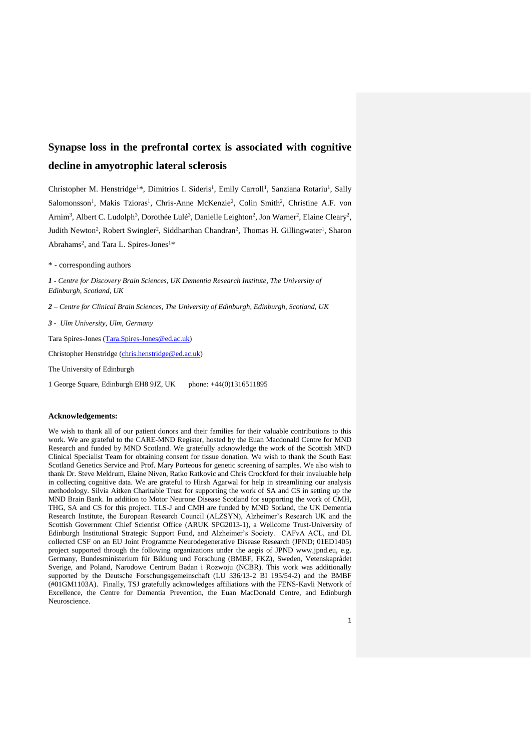# **Synapse loss in the prefrontal cortex is associated with cognitive decline in amyotrophic lateral sclerosis**

Christopher M. Henstridge<sup>1\*</sup>, Dimitrios I. Sideris<sup>1</sup>, Emily Carroll<sup>1</sup>, Sanziana Rotariu<sup>1</sup>, Sally Salomonsson<sup>1</sup>, Makis Tzioras<sup>1</sup>, Chris-Anne McKenzie<sup>2</sup>, Colin Smith<sup>2</sup>, Christine A.F. von Arnim<sup>3</sup>, Albert C. Ludolph<sup>3</sup>, Dorothée Lulé<sup>3</sup>, Danielle Leighton<sup>2</sup>, Jon Warner<sup>2</sup>, Elaine Cleary<sup>2</sup>, Judith Newton<sup>2</sup>, Robert Swingler<sup>2</sup>, Siddharthan Chandran<sup>2</sup>, Thomas H. Gillingwater<sup>1</sup>, Sharon Abrahams<sup>2</sup>, and Tara L. Spires-Jones<sup>1\*</sup>

\* - corresponding authors

*1 - Centre for Discovery Brain Sciences, UK Dementia Research Institute, The University of Edinburgh, Scotland, UK*

*2 – Centre for Clinical Brain Sciences, The University of Edinburgh, Edinburgh, Scotland, UK*

*3 - Ulm University, Ulm, Germany*

Tara Spires-Jones [\(Tara.Spires-Jones@ed.ac.uk\)](mailto:Tara.Spires-Jones@ed.ac.uk)

Christopher Henstridge [\(chris.henstridge@ed.ac.uk\)](mailto:chris.henstridge@ed.ac.uk)

The University of Edinburgh

1 George Square, Edinburgh EH8 9JZ, UK phone: +44(0)1316511895

#### **Acknowledgements:**

We wish to thank all of our patient donors and their families for their valuable contributions to this work. We are grateful to the CARE-MND Register, hosted by the Euan Macdonald Centre for MND Research and funded by MND Scotland. We gratefully acknowledge the work of the Scottish MND Clinical Specialist Team for obtaining consent for tissue donation. We wish to thank the South East Scotland Genetics Service and Prof. Mary Porteous for genetic screening of samples. We also wish to thank Dr. Steve Meldrum, Elaine Niven, Ratko Ratkovic and Chris Crockford for their invaluable help in collecting cognitive data. We are grateful to Hirsh Agarwal for help in streamlining our analysis methodology. Silvia Aitken Charitable Trust for supporting the work of SA and CS in setting up the MND Brain Bank. In addition to Motor Neurone Disease Scotland for supporting the work of CMH, THG, SA and CS for this project. TLS-J and CMH are funded by MND Sotland, the UK Dementia Research Institute, the European Research Council (ALZSYN), Alzheimer's Research UK and the Scottish Government Chief Scientist Office (ARUK SPG2013-1), a Wellcome Trust-University of Edinburgh Institutional Strategic Support Fund, and Alzheimer's Society. CAFvA ACL, and DL collected CSF on an EU Joint Programme Neurodegenerative Disease Research (JPND; 01ED1405) project supported through the following organizations under the aegis of JPND www.jpnd.eu, e.g. Germany, Bundesministerium für Bildung und Forschung (BMBF, FKZ), Sweden, Vetenskaprådet Sverige, and Poland, Narodowe Centrum Badan i Rozwoju (NCBR). This work was additionally supported by the Deutsche Forschungsgemeinschaft (LU 336/13-2 BI 195/54-2) and the BMBF (#01GM1103A). Finally, TSJ gratefully acknowledges affiliations with the FENS-Kavli Network of Excellence, the Centre for Dementia Prevention, the Euan MacDonald Centre, and Edinburgh Neuroscience.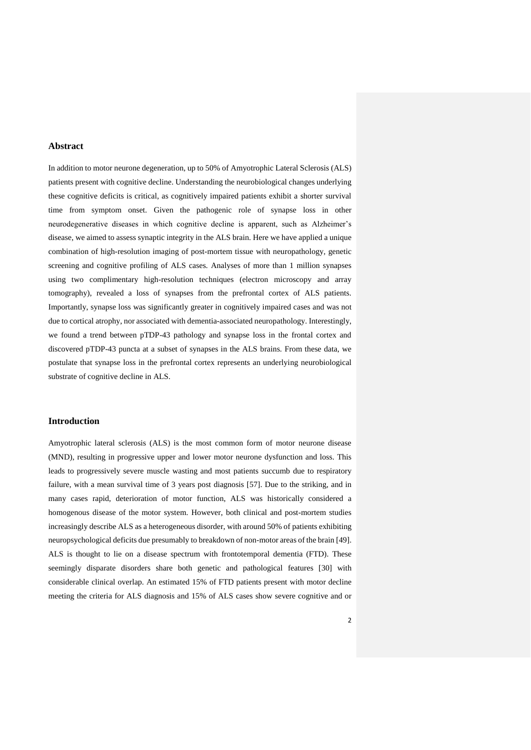# **Abstract**

In addition to motor neurone degeneration, up to 50% of Amyotrophic Lateral Sclerosis (ALS) patients present with cognitive decline. Understanding the neurobiological changes underlying these cognitive deficits is critical, as cognitively impaired patients exhibit a shorter survival time from symptom onset. Given the pathogenic role of synapse loss in other neurodegenerative diseases in which cognitive decline is apparent, such as Alzheimer's disease, we aimed to assess synaptic integrity in the ALS brain. Here we have applied a unique combination of high-resolution imaging of post-mortem tissue with neuropathology, genetic screening and cognitive profiling of ALS cases. Analyses of more than 1 million synapses using two complimentary high-resolution techniques (electron microscopy and array tomography), revealed a loss of synapses from the prefrontal cortex of ALS patients. Importantly, synapse loss was significantly greater in cognitively impaired cases and was not due to cortical atrophy, nor associated with dementia-associated neuropathology. Interestingly, we found a trend between pTDP-43 pathology and synapse loss in the frontal cortex and discovered pTDP-43 puncta at a subset of synapses in the ALS brains. From these data, we postulate that synapse loss in the prefrontal cortex represents an underlying neurobiological substrate of cognitive decline in ALS.

# **Introduction**

Amyotrophic lateral sclerosis (ALS) is the most common form of motor neurone disease (MND), resulting in progressive upper and lower motor neurone dysfunction and loss. This leads to progressively severe muscle wasting and most patients succumb due to respiratory failure, with a mean survival time of 3 years post diagnosis [57]. Due to the striking, and in many cases rapid, deterioration of motor function, ALS was historically considered a homogenous disease of the motor system. However, both clinical and post-mortem studies increasingly describe ALS as a heterogeneous disorder, with around 50% of patients exhibiting neuropsychological deficits due presumably to breakdown of non-motor areas of the brain [49]. ALS is thought to lie on a disease spectrum with frontotemporal dementia (FTD). These seemingly disparate disorders share both genetic and pathological features [30] with considerable clinical overlap. An estimated 15% of FTD patients present with motor decline meeting the criteria for ALS diagnosis and 15% of ALS cases show severe cognitive and or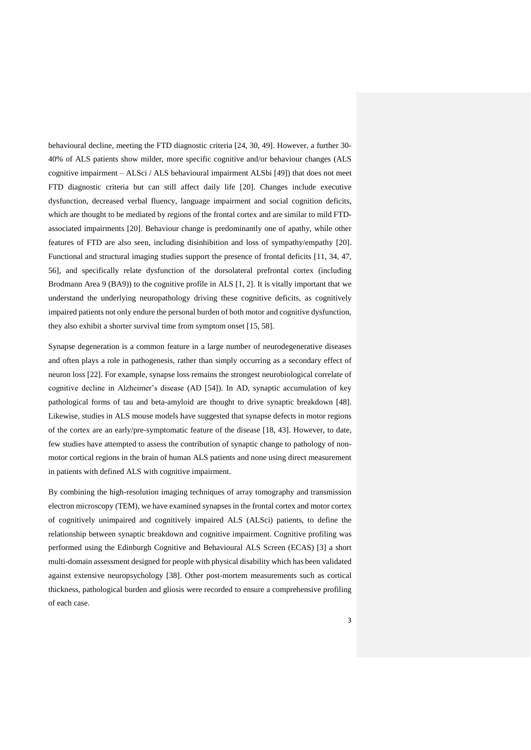behavioural decline, meeting the FTD diagnostic criteria [24, 30, 49]. However, a further 30- 40% of ALS patients show milder, more specific cognitive and/or behaviour changes (ALS cognitive impairment – ALSci / ALS behavioural impairment ALSbi [49]) that does not meet FTD diagnostic criteria but can still affect daily life [20]. Changes include executive dysfunction, decreased verbal fluency, language impairment and social cognition deficits, which are thought to be mediated by regions of the frontal cortex and are similar to mild FTDassociated impairments [20]. Behaviour change is predominantly one of apathy, while other features of FTD are also seen, including disinhibition and loss of sympathy/empathy [20]. Functional and structural imaging studies support the presence of frontal deficits [11, 34, 47, 56], and specifically relate dysfunction of the dorsolateral prefrontal cortex (including Brodmann Area 9 (BA9)) to the cognitive profile in ALS [1, 2]. It is vitally important that we understand the underlying neuropathology driving these cognitive deficits, as cognitively impaired patients not only endure the personal burden of both motor and cognitive dysfunction, they also exhibit a shorter survival time from symptom onset [15, 58].

Synapse degeneration is a common feature in a large number of neurodegenerative diseases and often plays a role in pathogenesis, rather than simply occurring as a secondary effect of neuron loss [22]. For example, synapse loss remains the strongest neurobiological correlate of cognitive decline in Alzheimer's disease (AD [54]). In AD, synaptic accumulation of key pathological forms of tau and beta-amyloid are thought to drive synaptic breakdown [48]. Likewise, studies in ALS mouse models have suggested that synapse defects in motor regions of the cortex are an early/pre-symptomatic feature of the disease [18, 43]. However, to date, few studies have attempted to assess the contribution of synaptic change to pathology of nonmotor cortical regions in the brain of human ALS patients and none using direct measurement in patients with defined ALS with cognitive impairment.

By combining the high-resolution imaging techniques of array tomography and transmission electron microscopy (TEM), we have examined synapses in the frontal cortex and motor cortex of cognitively unimpaired and cognitively impaired ALS (ALSci) patients, to define the relationship between synaptic breakdown and cognitive impairment. Cognitive profiling was performed using the Edinburgh Cognitive and Behavioural ALS Screen (ECAS) [3] a short multi-domain assessment designed for people with physical disability which has been validated against extensive neuropsychology [38]. Other post-mortem measurements such as cortical thickness, pathological burden and gliosis were recorded to ensure a comprehensive profiling of each case.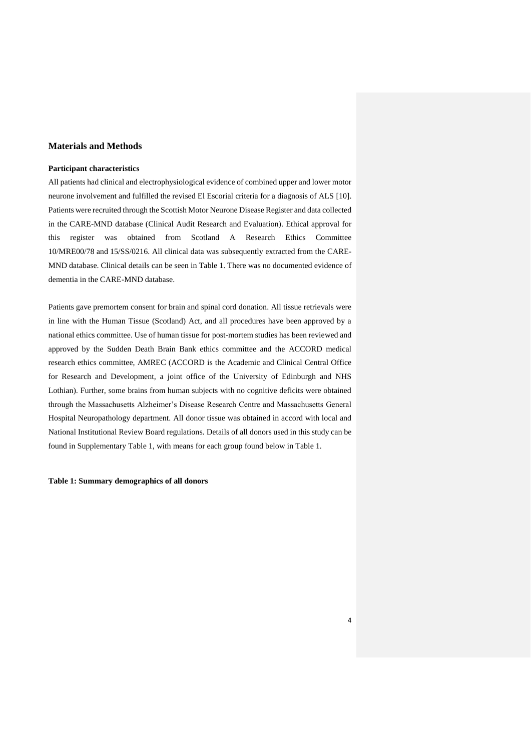# **Materials and Methods**

## **Participant characteristics**

All patients had clinical and electrophysiological evidence of combined upper and lower motor neurone involvement and fulfilled the revised El Escorial criteria for a diagnosis of ALS [10]. Patients were recruited through the Scottish Motor Neurone Disease Register and data collected in the CARE-MND database (Clinical Audit Research and Evaluation). Ethical approval for this register was obtained from Scotland A Research Ethics Committee 10/MRE00/78 and 15/SS/0216. All clinical data was subsequently extracted from the CARE-MND database. Clinical details can be seen in Table 1. There was no documented evidence of dementia in the CARE-MND database.

Patients gave premortem consent for brain and spinal cord donation. All tissue retrievals were in line with the Human Tissue (Scotland) Act, and all procedures have been approved by a national ethics committee. Use of human tissue for post-mortem studies has been reviewed and approved by the Sudden Death Brain Bank ethics committee and the ACCORD medical research ethics committee, AMREC (ACCORD is the Academic and Clinical Central Office for Research and Development, a joint office of the University of Edinburgh and NHS Lothian). Further, some brains from human subjects with no cognitive deficits were obtained through the Massachusetts Alzheimer's Disease Research Centre and Massachusetts General Hospital Neuropathology department. All donor tissue was obtained in accord with local and National Institutional Review Board regulations. Details of all donors used in this study can be found in Supplementary Table 1, with means for each group found below in Table 1.

#### **Table 1: Summary demographics of all donors**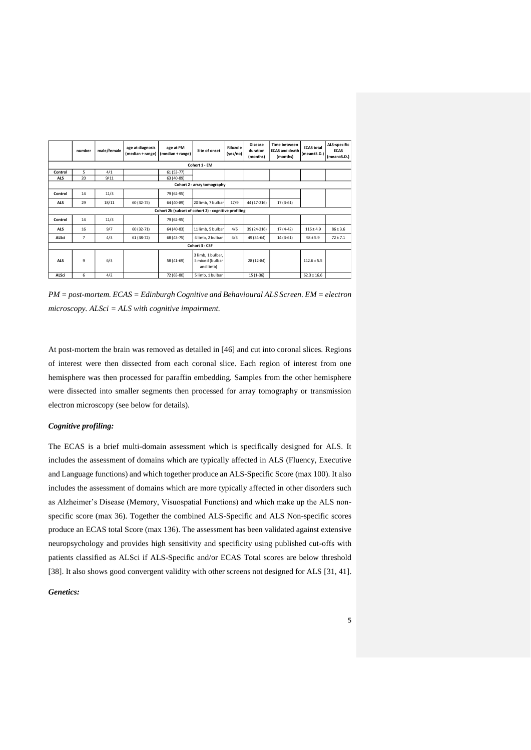|                             | number                                               | male/female | age at diagnosis<br>(median + range) | age at PM<br>(median + range) | Site of onset                                     | Riluzole<br>(yes/no) | <b>Disease</b><br>duration<br>(months) | <b>Time between</b><br><b>ECAS and death</b><br>(months) | <b>ECAS total</b><br>(mean±S.D.) | ALS-specific<br><b>ECAS</b><br>(mean±S.D.) |
|-----------------------------|------------------------------------------------------|-------------|--------------------------------------|-------------------------------|---------------------------------------------------|----------------------|----------------------------------------|----------------------------------------------------------|----------------------------------|--------------------------------------------|
|                             | Cohort 1 - EM                                        |             |                                      |                               |                                                   |                      |                                        |                                                          |                                  |                                            |
| Control                     | 5                                                    | 4/1         |                                      | $61(53-77)$                   |                                                   |                      |                                        |                                                          |                                  |                                            |
| <b>ALS</b>                  | 20                                                   | 9/11        |                                      | 63 (40-89)                    |                                                   |                      |                                        |                                                          |                                  |                                            |
| Cohort 2 - array tomography |                                                      |             |                                      |                               |                                                   |                      |                                        |                                                          |                                  |                                            |
| Control                     | 14                                                   | 11/3        |                                      | 79 (62-95)                    |                                                   |                      |                                        |                                                          |                                  |                                            |
| <b>ALS</b>                  | 29                                                   | 18/11       | 60 (32-75)                           | 64 (40-89)                    | 20 limb, 7 bulbar                                 | 17/9                 | 44 (17-216)                            | $17(3-61)$                                               |                                  |                                            |
|                             | Cohort 2b (subset of cohort 2) - cognitive profiling |             |                                      |                               |                                                   |                      |                                        |                                                          |                                  |                                            |
| Control                     | 14                                                   | 11/3        |                                      | 79 (62-95)                    |                                                   |                      |                                        |                                                          |                                  |                                            |
| <b>ALS</b>                  | 16                                                   | 9/7         | 60 (32-71)                           | 64 (40-83)                    | 11 limb, 5 bulbar                                 | 4/6                  | 39 (24-216)                            | $17(4-42)$                                               | $116 \pm 4.9$                    | $86 \pm 3.6$                               |
| ALSci                       | $\overline{7}$                                       | 4/3         | 61 (38-72)                           | 68 (43-75)                    | 4 limb, 2 bulbar                                  | 4/3                  | 49 (34-64)                             | $14(3-61)$                                               | $98 \pm 5.9$                     | $72 \pm 7.1$                               |
| Cohort 3 - CSF              |                                                      |             |                                      |                               |                                                   |                      |                                        |                                                          |                                  |                                            |
| <b>ALS</b>                  | 9                                                    | 6/3         |                                      | 58 (41-69)                    | 3 limb, 1 bulbar,<br>5 mixed (bulbar<br>and limb) |                      | 28 (12-84)                             |                                                          | $112.6 \pm 5.5$                  |                                            |
| ALSci                       | 6                                                    | 4/2         |                                      | 72 (65-80)                    | 5 limb, 1 bulbar                                  |                      | $15(1-36)$                             |                                                          | $62.3 \pm 16.6$                  |                                            |

*PM = post-mortem. ECAS = Edinburgh Cognitive and Behavioural ALS Screen. EM = electron microscopy. ALSci = ALS with cognitive impairment.* 

At post-mortem the brain was removed as detailed in [46] and cut into coronal slices. Regions of interest were then dissected from each coronal slice. Each region of interest from one hemisphere was then processed for paraffin embedding. Samples from the other hemisphere were dissected into smaller segments then processed for array tomography or transmission electron microscopy (see below for details).

## *Cognitive profiling:*

The ECAS is a brief multi-domain assessment which is specifically designed for ALS. It includes the assessment of domains which are typically affected in ALS (Fluency, Executive and Language functions) and which together produce an ALS-Specific Score (max 100). It also includes the assessment of domains which are more typically affected in other disorders such as Alzheimer's Disease (Memory, Visuospatial Functions) and which make up the ALS nonspecific score (max 36). Together the combined ALS-Specific and ALS Non-specific scores produce an ECAS total Score (max 136). The assessment has been validated against extensive neuropsychology and provides high sensitivity and specificity using published cut-offs with patients classified as ALSci if ALS-Specific and/or ECAS Total scores are below threshold [38]. It also shows good convergent validity with other screens not designed for ALS [31, 41].

## *Genetics:*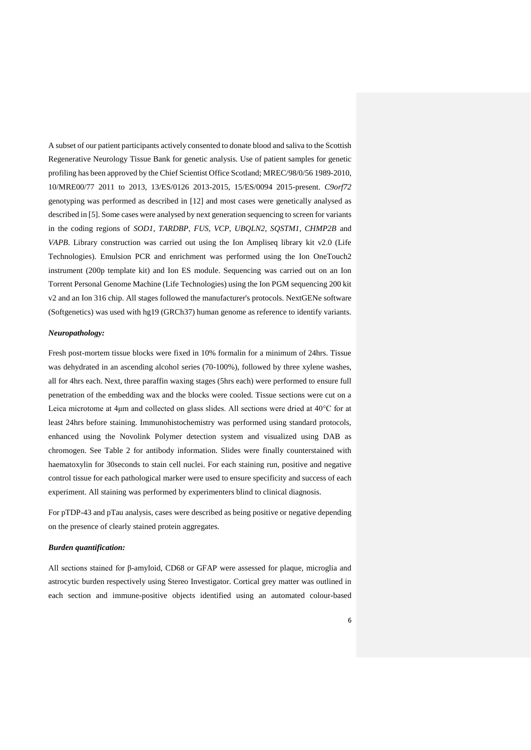A subset of our patient participants actively consented to donate blood and saliva to the Scottish Regenerative Neurology Tissue Bank for genetic analysis. Use of patient samples for genetic profiling has been approved by the Chief Scientist Office Scotland; MREC/98/0/56 1989-2010, 10/MRE00/77 2011 to 2013, 13/ES/0126 2013-2015, 15/ES/0094 2015-present. *C9orf72* genotyping was performed as described in [12] and most cases were genetically analysed as described in [5]. Some cases were analysed by next generation sequencing to screen for variants in the coding regions of *SOD1, TARDBP, FUS, VCP, UBQLN2, SQSTM1, CHMP2B* and *VAPB*. Library construction was carried out using the Ion Ampliseq library kit v2.0 (Life Technologies). Emulsion PCR and enrichment was performed using the Ion OneTouch2 instrument (200p template kit) and Ion ES module. Sequencing was carried out on an Ion Torrent Personal Genome Machine (Life Technologies) using the Ion PGM sequencing 200 kit v2 and an Ion 316 chip. All stages followed the manufacturer's protocols. NextGENe software (Softgenetics) was used with hg19 (GRCh37) human genome as reference to identify variants.

#### *Neuropathology:*

Fresh post-mortem tissue blocks were fixed in 10% formalin for a minimum of 24hrs. Tissue was dehydrated in an ascending alcohol series (70-100%), followed by three xylene washes, all for 4hrs each. Next, three paraffin waxing stages (5hrs each) were performed to ensure full penetration of the embedding wax and the blocks were cooled. Tissue sections were cut on a Leica microtome at 4μm and collected on glass slides. All sections were dried at 40°C for at least 24hrs before staining. Immunohistochemistry was performed using standard protocols, enhanced using the Novolink Polymer detection system and visualized using DAB as chromogen. See Table 2 for antibody information. Slides were finally counterstained with haematoxylin for 30seconds to stain cell nuclei. For each staining run, positive and negative control tissue for each pathological marker were used to ensure specificity and success of each experiment. All staining was performed by experimenters blind to clinical diagnosis.

For pTDP-43 and pTau analysis, cases were described as being positive or negative depending on the presence of clearly stained protein aggregates.

### *Burden quantification:*

All sections stained for β-amyloid, CD68 or GFAP were assessed for plaque, microglia and astrocytic burden respectively using Stereo Investigator. Cortical grey matter was outlined in each section and immune-positive objects identified using an automated colour-based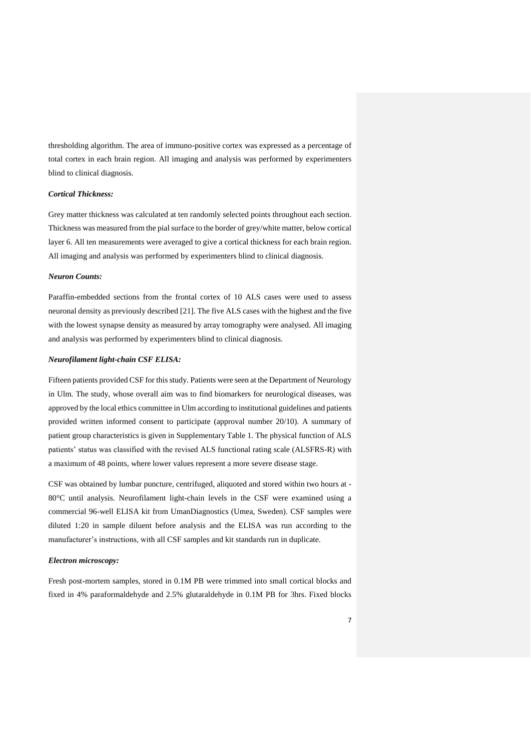thresholding algorithm. The area of immuno-positive cortex was expressed as a percentage of total cortex in each brain region. All imaging and analysis was performed by experimenters blind to clinical diagnosis.

## *Cortical Thickness:*

Grey matter thickness was calculated at ten randomly selected points throughout each section. Thickness was measured from the pial surface to the border of grey/white matter, below cortical layer 6. All ten measurements were averaged to give a cortical thickness for each brain region. All imaging and analysis was performed by experimenters blind to clinical diagnosis.

#### *Neuron Counts:*

Paraffin-embedded sections from the frontal cortex of 10 ALS cases were used to assess neuronal density as previously described [21]. The five ALS cases with the highest and the five with the lowest synapse density as measured by array tomography were analysed. All imaging and analysis was performed by experimenters blind to clinical diagnosis.

## *Neurofilament light-chain CSF ELISA:*

Fifteen patients provided CSF for this study. Patients were seen at the Department of Neurology in Ulm. The study, whose overall aim was to find biomarkers for neurological diseases, was approved by the local ethics committee in Ulm according to institutional guidelines and patients provided written informed consent to participate (approval number 20/10). A summary of patient group characteristics is given in Supplementary Table 1. The physical function of ALS patients' status was classified with the revised ALS functional rating scale (ALSFRS-R) with a maximum of 48 points, where lower values represent a more severe disease stage.

CSF was obtained by lumbar puncture, centrifuged, aliquoted and stored within two hours at - 80°C until analysis. Neurofilament light-chain levels in the CSF were examined using a commercial 96-well ELISA kit from UmanDiagnostics (Umea, Sweden). CSF samples were diluted 1:20 in sample diluent before analysis and the ELISA was run according to the manufacturer's instructions, with all CSF samples and kit standards run in duplicate.

## *Electron microscopy:*

Fresh post-mortem samples, stored in 0.1M PB were trimmed into small cortical blocks and fixed in 4% paraformaldehyde and 2.5% glutaraldehyde in 0.1M PB for 3hrs. Fixed blocks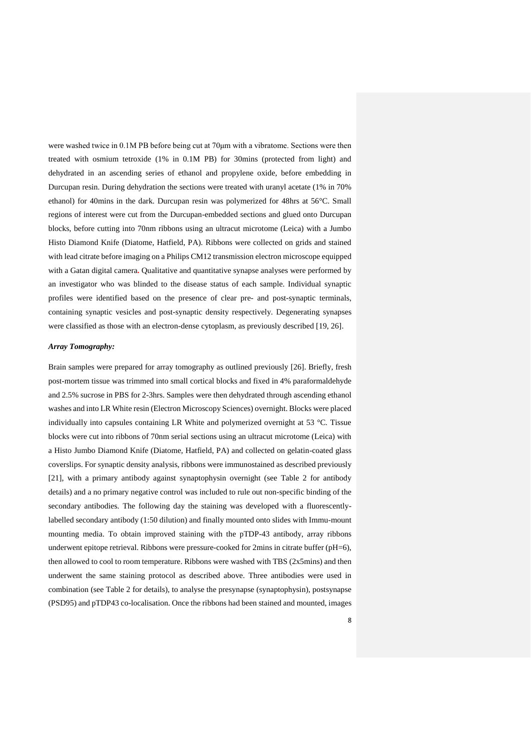were washed twice in 0.1M PB before being cut at 70μm with a vibratome. Sections were then treated with osmium tetroxide (1% in 0.1M PB) for 30mins (protected from light) and dehydrated in an ascending series of ethanol and propylene oxide, before embedding in Durcupan resin. During dehydration the sections were treated with uranyl acetate (1% in 70% ethanol) for 40mins in the dark. Durcupan resin was polymerized for 48hrs at 56°C. Small regions of interest were cut from the Durcupan-embedded sections and glued onto Durcupan blocks, before cutting into 70nm ribbons using an ultracut microtome (Leica) with a Jumbo Histo Diamond Knife (Diatome, Hatfield, PA). Ribbons were collected on grids and stained with lead citrate before imaging on a Philips CM12 transmission electron microscope equipped with a Gatan digital camera**.** Qualitative and quantitative synapse analyses were performed by an investigator who was blinded to the disease status of each sample. Individual synaptic profiles were identified based on the presence of clear pre- and post-synaptic terminals, containing synaptic vesicles and post-synaptic density respectively. Degenerating synapses were classified as those with an electron-dense cytoplasm, as previously described [19, 26].

#### *Array Tomography:*

Brain samples were prepared for array tomography as outlined previously [26]. Briefly, fresh post-mortem tissue was trimmed into small cortical blocks and fixed in 4% paraformaldehyde and 2.5% sucrose in PBS for 2-3hrs. Samples were then dehydrated through ascending ethanol washes and into LR White resin (Electron Microscopy Sciences) overnight. Blocks were placed individually into capsules containing LR White and polymerized overnight at 53 °C. Tissue blocks were cut into ribbons of 70nm serial sections using an ultracut microtome (Leica) with a Histo Jumbo Diamond Knife (Diatome, Hatfield, PA) and collected on gelatin-coated glass coverslips. For synaptic density analysis, ribbons were immunostained as described previously [21], with a primary antibody against synaptophysin overnight (see Table 2 for antibody details) and a no primary negative control was included to rule out non-specific binding of the secondary antibodies. The following day the staining was developed with a fluorescentlylabelled secondary antibody (1:50 dilution) and finally mounted onto slides with Immu-mount mounting media. To obtain improved staining with the pTDP-43 antibody, array ribbons underwent epitope retrieval. Ribbons were pressure-cooked for 2mins in citrate buffer (pH=6), then allowed to cool to room temperature. Ribbons were washed with TBS (2x5mins) and then underwent the same staining protocol as described above. Three antibodies were used in combination (see Table 2 for details), to analyse the presynapse (synaptophysin), postsynapse (PSD95) and pTDP43 co-localisation. Once the ribbons had been stained and mounted, images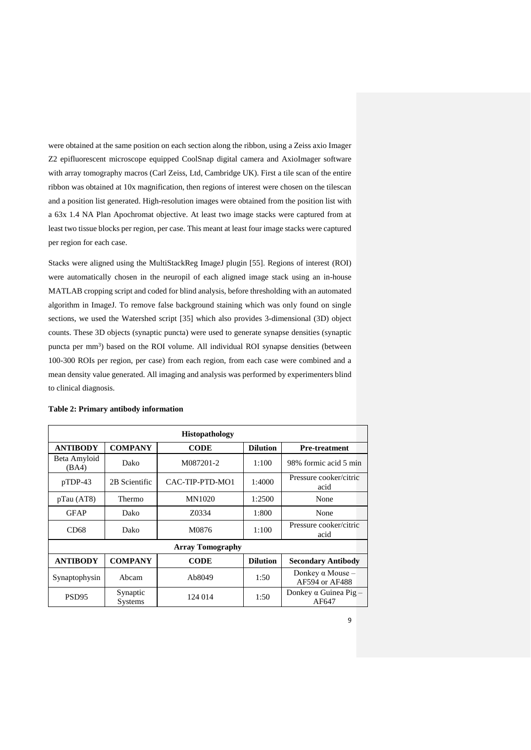were obtained at the same position on each section along the ribbon, using a Zeiss axio Imager Z2 epifluorescent microscope equipped CoolSnap digital camera and AxioImager software with array tomography macros (Carl Zeiss, Ltd, Cambridge UK). First a tile scan of the entire ribbon was obtained at 10x magnification, then regions of interest were chosen on the tilescan and a position list generated. High-resolution images were obtained from the position list with a 63x 1.4 NA Plan Apochromat objective. At least two image stacks were captured from at least two tissue blocks per region, per case. This meant at least four image stacks were captured per region for each case.

Stacks were aligned using the MultiStackReg ImageJ plugin [55]. Regions of interest (ROI) were automatically chosen in the neuropil of each aligned image stack using an in-house MATLAB cropping script and coded for blind analysis, before thresholding with an automated algorithm in ImageJ. To remove false background staining which was only found on single sections, we used the Watershed script [35] which also provides 3-dimensional (3D) object counts. These 3D objects (synaptic puncta) were used to generate synapse densities (synaptic puncta per mm<sup>3</sup>) based on the ROI volume. All individual ROI synapse densities (between 100-300 ROIs per region, per case) from each region, from each case were combined and a mean density value generated. All imaging and analysis was performed by experimenters blind to clinical diagnosis.

| <b>Histopathology</b>   |                     |                 |                 |                                           |  |  |  |
|-------------------------|---------------------|-----------------|-----------------|-------------------------------------------|--|--|--|
| <b>ANTIBODY</b>         | <b>COMPANY</b>      | <b>CODE</b>     | <b>Dilution</b> | <b>Pre-treatment</b>                      |  |  |  |
| Beta Amyloid<br>(BA4)   | Dako                | M087201-2       |                 | 98% formic acid 5 min                     |  |  |  |
| $pTDP-43$               | 2B Scientific       | CAC-TIP-PTD-MO1 | 1:4000          | Pressure cooker/citric<br>acid            |  |  |  |
| pTau (AT8)              | Thermo              | MN1020          | 1:2500          | None                                      |  |  |  |
| <b>GFAP</b>             | Dako                | Z0334           | 1:800           | None                                      |  |  |  |
| CD <sub>68</sub>        | Dako                | M0876           | 1:100           | Pressure cooker/citric<br>acid            |  |  |  |
| <b>Array Tomography</b> |                     |                 |                 |                                           |  |  |  |
| <b>ANTIBODY</b>         | <b>COMPANY</b>      | <b>CODE</b>     | <b>Dilution</b> | <b>Secondary Antibody</b>                 |  |  |  |
| Synaptophysin           | Abcam               | Ab8049          | 1:50            | Donkey $\alpha$ Mouse –<br>AF594 or AF488 |  |  |  |
| PSD <sub>95</sub>       | Synaptic<br>Systems | 124 014         | 1:50            | Donkey $\alpha$ Guinea Pig –<br>AF647     |  |  |  |

|  | Table 2: Primary antibody information |
|--|---------------------------------------|
|  |                                       |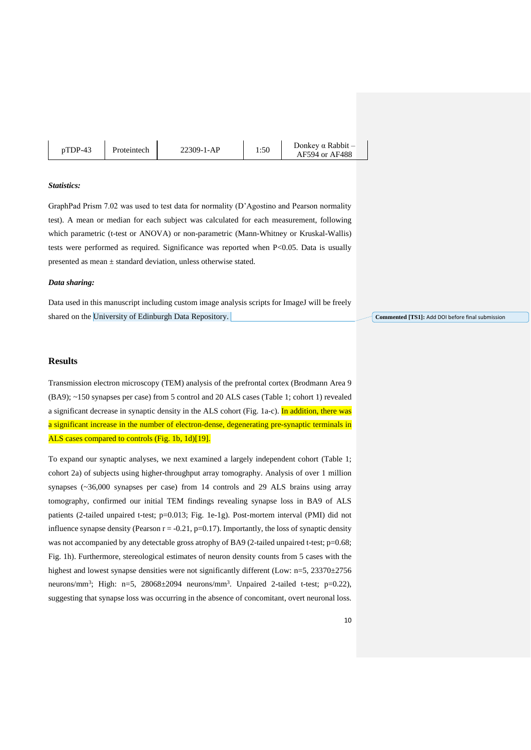| $pTDP-43$ | Proteintech | 22309-1-AP | 1:50 | Donkey $\alpha$ Rabbit $-$<br>AF594 or AF488 |
|-----------|-------------|------------|------|----------------------------------------------|
|           |             |            |      |                                              |

## *Statistics:*

GraphPad Prism 7.02 was used to test data for normality (D'Agostino and Pearson normality test). A mean or median for each subject was calculated for each measurement, following which parametric (t-test or ANOVA) or non-parametric (Mann-Whitney or Kruskal-Wallis) tests were performed as required. Significance was reported when P<0.05. Data is usually presented as mean ± standard deviation, unless otherwise stated.

#### *Data sharing:*

Data used in this manuscript including custom image analysis scripts for ImageJ will be freely shared on the University of Edinburgh Data Repository.

## **Results**

Transmission electron microscopy (TEM) analysis of the prefrontal cortex (Brodmann Area 9 (BA9); ~150 synapses per case) from 5 control and 20 ALS cases (Table 1; cohort 1) revealed a significant decrease in synaptic density in the ALS cohort (Fig. 1a-c). In addition, there was a significant increase in the number of electron-dense, degenerating pre-synaptic terminals in ALS cases compared to controls (Fig. 1b, 1d)[19].

To expand our synaptic analyses, we next examined a largely independent cohort (Table 1; cohort 2a) of subjects using higher-throughput array tomography. Analysis of over 1 million synapses (~36,000 synapses per case) from 14 controls and 29 ALS brains using array tomography, confirmed our initial TEM findings revealing synapse loss in BA9 of ALS patients (2-tailed unpaired t-test; p=0.013; Fig. 1e-1g). Post-mortem interval (PMI) did not influence synapse density (Pearson  $r = -0.21$ , p=0.17). Importantly, the loss of synaptic density was not accompanied by any detectable gross atrophy of BA9 (2-tailed unpaired t-test; p=0.68; Fig. 1h). Furthermore, stereological estimates of neuron density counts from 5 cases with the highest and lowest synapse densities were not significantly different (Low: n=5, 23370±2756 neurons/mm<sup>3</sup>; High: n=5, 28068±2094 neurons/mm<sup>3</sup>. Unpaired 2-tailed t-test; p=0.22), suggesting that synapse loss was occurring in the absence of concomitant, overt neuronal loss.

**Commented [TS1]:** Add DOI before final submission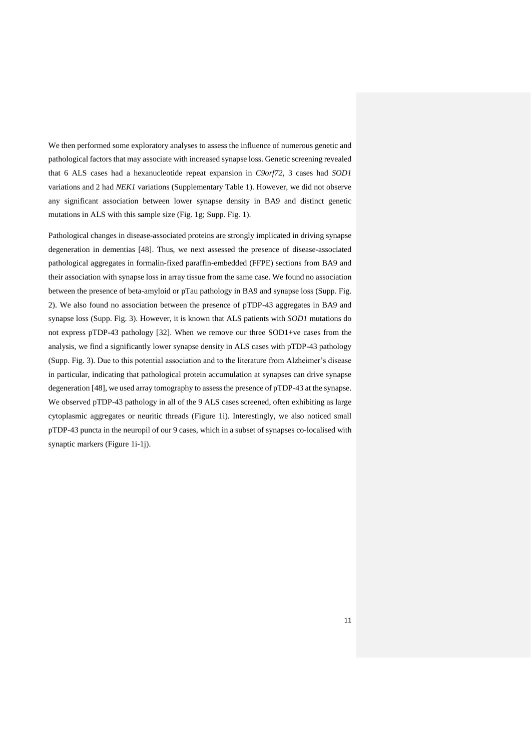We then performed some exploratory analyses to assess the influence of numerous genetic and pathological factors that may associate with increased synapse loss. Genetic screening revealed that 6 ALS cases had a hexanucleotide repeat expansion in *C9orf72*, 3 cases had *SOD1* variations and 2 had *NEK1* variations (Supplementary Table 1). However, we did not observe any significant association between lower synapse density in BA9 and distinct genetic mutations in ALS with this sample size (Fig. 1g; Supp. Fig. 1).

Pathological changes in disease-associated proteins are strongly implicated in driving synapse degeneration in dementias [48]. Thus, we next assessed the presence of disease-associated pathological aggregates in formalin-fixed paraffin-embedded (FFPE) sections from BA9 and their association with synapse loss in array tissue from the same case. We found no association between the presence of beta-amyloid or pTau pathology in BA9 and synapse loss (Supp. Fig. 2). We also found no association between the presence of pTDP-43 aggregates in BA9 and synapse loss (Supp. Fig. 3). However, it is known that ALS patients with *SOD1* mutations do not express pTDP-43 pathology [32]. When we remove our three SOD1+ve cases from the analysis, we find a significantly lower synapse density in ALS cases with pTDP-43 pathology (Supp. Fig. 3). Due to this potential association and to the literature from Alzheimer's disease in particular, indicating that pathological protein accumulation at synapses can drive synapse degeneration [48], we used array tomography to assess the presence of pTDP-43 at the synapse. We observed pTDP-43 pathology in all of the 9 ALS cases screened, often exhibiting as large cytoplasmic aggregates or neuritic threads (Figure 1i). Interestingly, we also noticed small pTDP-43 puncta in the neuropil of our 9 cases, which in a subset of synapses co-localised with synaptic markers (Figure 1i-1j).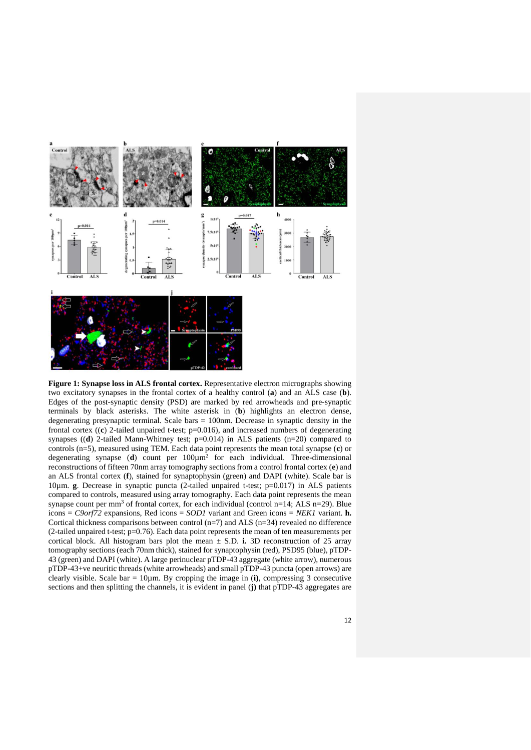

Figure 1: Synapse loss in ALS frontal cortex. Representative electron micrographs showing two excitatory synapses in the frontal cortex of a healthy control (**a**) and an ALS case (**b**). Edges of the post-synaptic density (PSD) are marked by red arrowheads and pre-synaptic terminals by black asterisks. The white asterisk in (**b**) highlights an electron dense, degenerating presynaptic terminal. Scale bars = 100nm. Decrease in synaptic density in the frontal cortex ((**c**) 2-tailed unpaired t-test; p=0.016), and increased numbers of degenerating synapses ((**d**) 2-tailed Mann-Whitney test; p=0.014) in ALS patients (n=20) compared to controls (n=5), measured using TEM. Each data point represents the mean total synapse (**c**) or degenerating synapse (**d**) count per 100µm<sup>2</sup> for each individual. Three-dimensional reconstructions of fifteen 70nm array tomography sections from a control frontal cortex (**e**) and an ALS frontal cortex (**f**), stained for synaptophysin (green) and DAPI (white). Scale bar is 10µm. **g**. Decrease in synaptic puncta (2-tailed unpaired t-test; p=0.017) in ALS patients compared to controls, measured using array tomography. Each data point represents the mean synapse count per mm<sup>3</sup> of frontal cortex, for each individual (control n=14; ALS n=29). Blue icons = *C9orf72* expansions, Red icons = *SOD1* variant and Green icons = *NEK1* variant. **h.** Cortical thickness comparisons between control  $(n=7)$  and ALS  $(n=34)$  revealed no difference (2-tailed unpaired t-test;  $p=0.76$ ). Each data point represents the mean of ten measurements per cortical block. All histogram bars plot the mean  $\pm$  S.D. **i.** 3D reconstruction of 25 array tomography sections (each 70nm thick), stained for synaptophysin (red), PSD95 (blue), pTDP-43 (green) and DAPI (white). A large perinuclear pTDP-43 aggregate (white arrow), numerous pTDP-43+ve neuritic threads (white arrowheads) and small pTDP-43 puncta (open arrows) are clearly visible. Scale  $bar = 10 \mu m$ . By cropping the image in (**i**), compressing 3 consecutive sections and then splitting the channels, it is evident in panel (**j)** that pTDP-43 aggregates are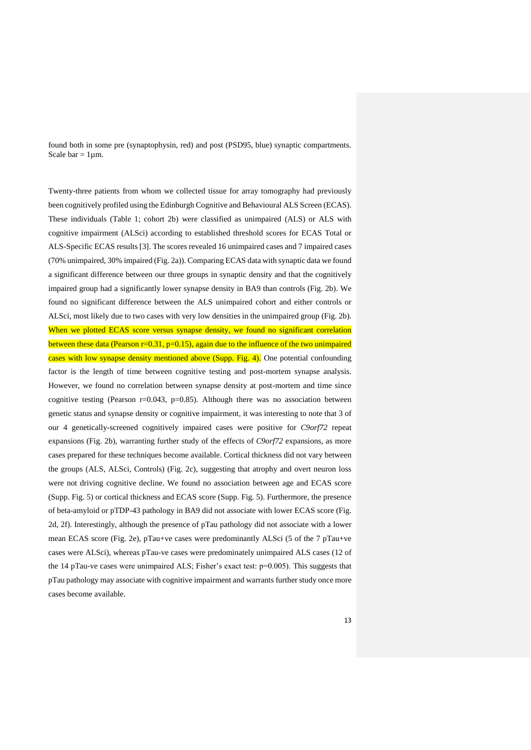found both in some pre (synaptophysin, red) and post (PSD95, blue) synaptic compartments. Scale bar =  $1 \mu m$ .

Twenty-three patients from whom we collected tissue for array tomography had previously been cognitively profiled using the Edinburgh Cognitive and Behavioural ALS Screen (ECAS). These individuals (Table 1; cohort 2b) were classified as unimpaired (ALS) or ALS with cognitive impairment (ALSci) according to established threshold scores for ECAS Total or ALS-Specific ECAS results [3]. The scores revealed 16 unimpaired cases and 7 impaired cases (70% unimpaired, 30% impaired (Fig. 2a)). Comparing ECAS data with synaptic data we found a significant difference between our three groups in synaptic density and that the cognitively impaired group had a significantly lower synapse density in BA9 than controls (Fig. 2b). We found no significant difference between the ALS unimpaired cohort and either controls or ALSci, most likely due to two cases with very low densities in the unimpaired group (Fig. 2b). When we plotted ECAS score versus synapse density, we found no significant correlation between these data (Pearson  $r=0.31$ ,  $p=0.15$ ), again due to the influence of the two unimpaired cases with low synapse density mentioned above (Supp. Fig. 4). One potential confounding factor is the length of time between cognitive testing and post-mortem synapse analysis. However, we found no correlation between synapse density at post-mortem and time since cognitive testing (Pearson r=0.043, p=0.85). Although there was no association between genetic status and synapse density or cognitive impairment, it was interesting to note that 3 of our 4 genetically-screened cognitively impaired cases were positive for *C9orf72* repeat expansions (Fig. 2b), warranting further study of the effects of *C9orf72* expansions, as more cases prepared for these techniques become available. Cortical thickness did not vary between the groups (ALS, ALSci, Controls) (Fig. 2c), suggesting that atrophy and overt neuron loss were not driving cognitive decline. We found no association between age and ECAS score (Supp. Fig. 5) or cortical thickness and ECAS score (Supp. Fig. 5). Furthermore, the presence of beta-amyloid or pTDP-43 pathology in BA9 did not associate with lower ECAS score (Fig. 2d, 2f). Interestingly, although the presence of pTau pathology did not associate with a lower mean ECAS score (Fig. 2e), pTau+ve cases were predominantly ALSci (5 of the 7 pTau+ve cases were ALSci), whereas pTau-ve cases were predominately unimpaired ALS cases (12 of the 14 pTau-ve cases were unimpaired ALS; Fisher's exact test: p=0.005). This suggests that pTau pathology may associate with cognitive impairment and warrants further study once more cases become available.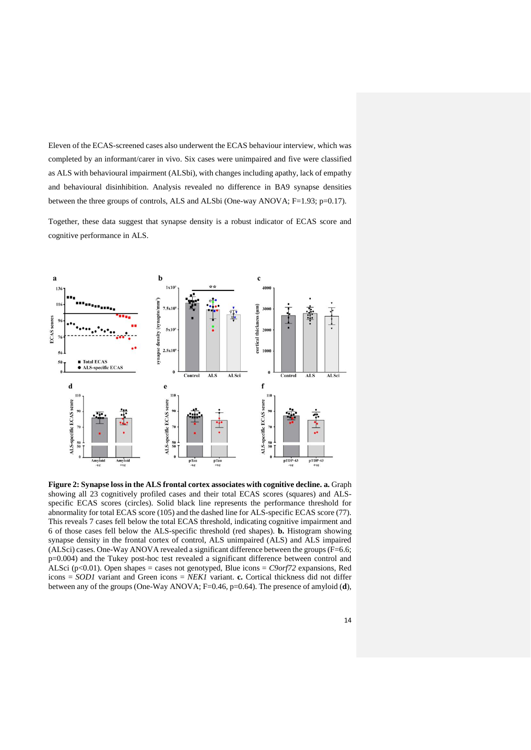Eleven of the ECAS-screened cases also underwent the ECAS behaviour interview, which was completed by an informant/carer in vivo. Six cases were unimpaired and five were classified as ALS with behavioural impairment (ALSbi), with changes including apathy, lack of empathy and behavioural disinhibition. Analysis revealed no difference in BA9 synapse densities between the three groups of controls, ALS and ALSbi (One-way ANOVA; F=1.93; p=0.17).

Together, these data suggest that synapse density is a robust indicator of ECAS score and cognitive performance in ALS.



**Figure 2: Synapse loss in the ALS frontal cortex associates with cognitive decline. a.** Graph showing all 23 cognitively profiled cases and their total ECAS scores (squares) and ALSspecific ECAS scores (circles). Solid black line represents the performance threshold for abnormality for total ECAS score (105) and the dashed line for ALS-specific ECAS score (77). This reveals 7 cases fell below the total ECAS threshold, indicating cognitive impairment and 6 of those cases fell below the ALS-specific threshold (red shapes). **b.** Histogram showing synapse density in the frontal cortex of control, ALS unimpaired (ALS) and ALS impaired (ALSci) cases. One-Way ANOVA revealed a significant difference between the groups (F=6.6; p=0.004) and the Tukey post-hoc test revealed a significant difference between control and ALSci (p<0.01). Open shapes = cases not genotyped, Blue icons = *C9orf72* expansions, Red icons = *SOD1* variant and Green icons = *NEK1* variant. **c.** Cortical thickness did not differ between any of the groups (One-Way ANOVA; F=0.46, p=0.64). The presence of amyloid (**d**),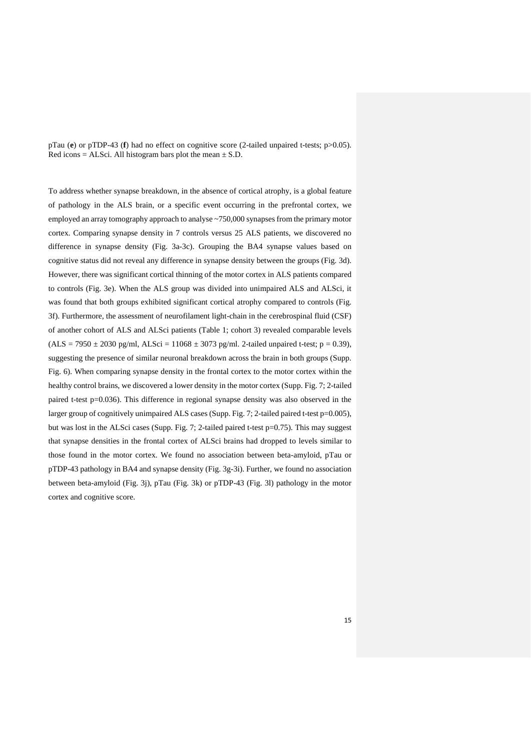pTau (**e**) or pTDP-43 (**f**) had no effect on cognitive score (2-tailed unpaired t-tests; p>0.05). Red icons = ALSci. All histogram bars plot the mean  $\pm$  S.D.

To address whether synapse breakdown, in the absence of cortical atrophy, is a global feature of pathology in the ALS brain, or a specific event occurring in the prefrontal cortex, we employed an array tomography approach to analyse ~750,000 synapses from the primary motor cortex. Comparing synapse density in 7 controls versus 25 ALS patients, we discovered no difference in synapse density (Fig. 3a-3c). Grouping the BA4 synapse values based on cognitive status did not reveal any difference in synapse density between the groups (Fig. 3d). However, there was significant cortical thinning of the motor cortex in ALS patients compared to controls (Fig. 3e). When the ALS group was divided into unimpaired ALS and ALSci, it was found that both groups exhibited significant cortical atrophy compared to controls (Fig. 3f). Furthermore, the assessment of neurofilament light-chain in the cerebrospinal fluid (CSF) of another cohort of ALS and ALSci patients (Table 1; cohort 3) revealed comparable levels  $(ALS = 7950 \pm 2030 \text{ pg/ml}, ALSci = 11068 \pm 3073 \text{ pg/ml}.$  2-tailed unpaired t-test; p = 0.39), suggesting the presence of similar neuronal breakdown across the brain in both groups (Supp. Fig. 6). When comparing synapse density in the frontal cortex to the motor cortex within the healthy control brains, we discovered a lower density in the motor cortex (Supp. Fig. 7; 2-tailed paired t-test p=0.036). This difference in regional synapse density was also observed in the larger group of cognitively unimpaired ALS cases (Supp. Fig. 7; 2-tailed paired t-test p=0.005), but was lost in the ALSci cases (Supp. Fig. 7; 2-tailed paired t-test p=0.75). This may suggest that synapse densities in the frontal cortex of ALSci brains had dropped to levels similar to those found in the motor cortex. We found no association between beta-amyloid, pTau or pTDP-43 pathology in BA4 and synapse density (Fig. 3g-3i). Further, we found no association between beta-amyloid (Fig. 3j), pTau (Fig. 3k) or pTDP-43 (Fig. 3l) pathology in the motor cortex and cognitive score.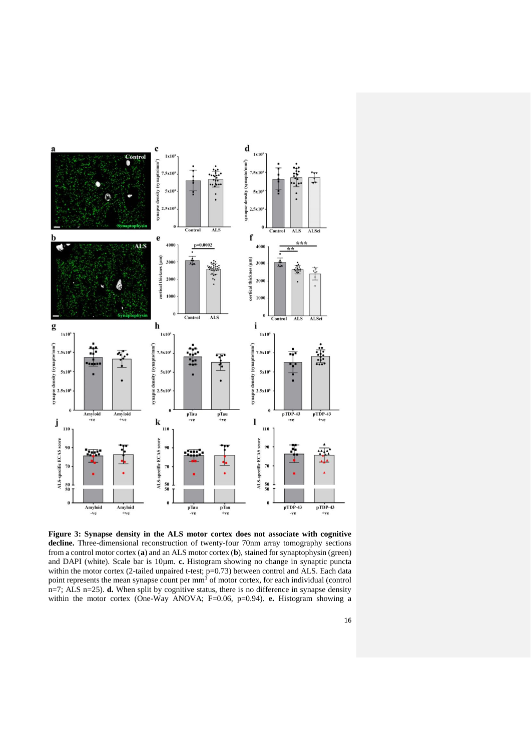

**Figure 3: Synapse density in the ALS motor cortex does not associate with cognitive**  decline. Three-dimensional reconstruction of twenty-four 70nm array tomography sections from a control motor cortex (**a**) and an ALS motor cortex (**b**), stained for synaptophysin (green) and DAPI (white). Scale bar is 10 $\mu$ m. **c.** Histogram showing no change in synaptic puncta within the motor cortex (2-tailed unpaired t-test; p=0.73) between control and ALS. Each data point represents the mean synapse count per mm<sup>3</sup> of motor cortex, for each individual (control n=7; ALS n=25). **d.** When split by cognitive status, there is no difference in synapse density within the motor cortex (One-Way ANOVA; F=0.06, p=0.94). **e.** Histogram showing a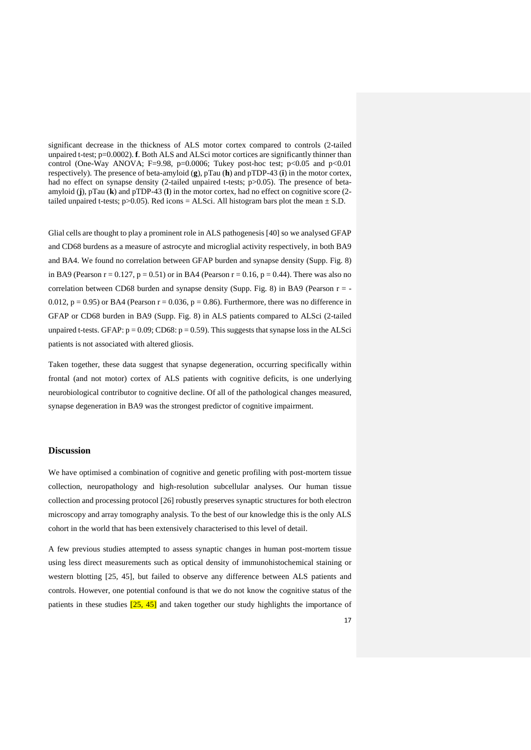significant decrease in the thickness of ALS motor cortex compared to controls (2-tailed unpaired t-test; p=0.0002). **f**. Both ALS and ALSci motor cortices are significantly thinner than control (One-Way ANOVA; F=9.98, p=0.0006; Tukey post-hoc test; p<0.05 and p<0.01 respectively). The presence of beta-amyloid (**g**), pTau (**h**) and pTDP-43 (**i**) in the motor cortex, had no effect on synapse density (2-tailed unpaired t-tests; p>0.05). The presence of betaamyloid (**j**), pTau (**k**) and pTDP-43 (**l**) in the motor cortex, had no effect on cognitive score (2 tailed unpaired t-tests;  $p > 0.05$ ). Red icons = ALSci. All histogram bars plot the mean  $\pm$  S.D.

Glial cells are thought to play a prominent role in ALS pathogenesis [40] so we analysed GFAP and CD68 burdens as a measure of astrocyte and microglial activity respectively, in both BA9 and BA4. We found no correlation between GFAP burden and synapse density (Supp. Fig. 8) in BA9 (Pearson  $r = 0.127$ ,  $p = 0.51$ ) or in BA4 (Pearson  $r = 0.16$ ,  $p = 0.44$ ). There was also no correlation between CD68 burden and synapse density (Supp. Fig. 8) in BA9 (Pearson  $r = -$ 0.012,  $p = 0.95$ ) or BA4 (Pearson  $r = 0.036$ ,  $p = 0.86$ ). Furthermore, there was no difference in GFAP or CD68 burden in BA9 (Supp. Fig. 8) in ALS patients compared to ALSci (2-tailed unpaired t-tests. GFAP:  $p = 0.09$ ; CD68:  $p = 0.59$ ). This suggests that synapse loss in the ALSci patients is not associated with altered gliosis.

Taken together, these data suggest that synapse degeneration, occurring specifically within frontal (and not motor) cortex of ALS patients with cognitive deficits, is one underlying neurobiological contributor to cognitive decline. Of all of the pathological changes measured, synapse degeneration in BA9 was the strongest predictor of cognitive impairment.

#### **Discussion**

We have optimised a combination of cognitive and genetic profiling with post-mortem tissue collection, neuropathology and high-resolution subcellular analyses. Our human tissue collection and processing protocol [26] robustly preserves synaptic structures for both electron microscopy and array tomography analysis. To the best of our knowledge this is the only ALS cohort in the world that has been extensively characterised to this level of detail.

A few previous studies attempted to assess synaptic changes in human post-mortem tissue using less direct measurements such as optical density of immunohistochemical staining or western blotting [25, 45], but failed to observe any difference between ALS patients and controls. However, one potential confound is that we do not know the cognitive status of the patients in these studies  $\left[25, 45\right]$  and taken together our study highlights the importance of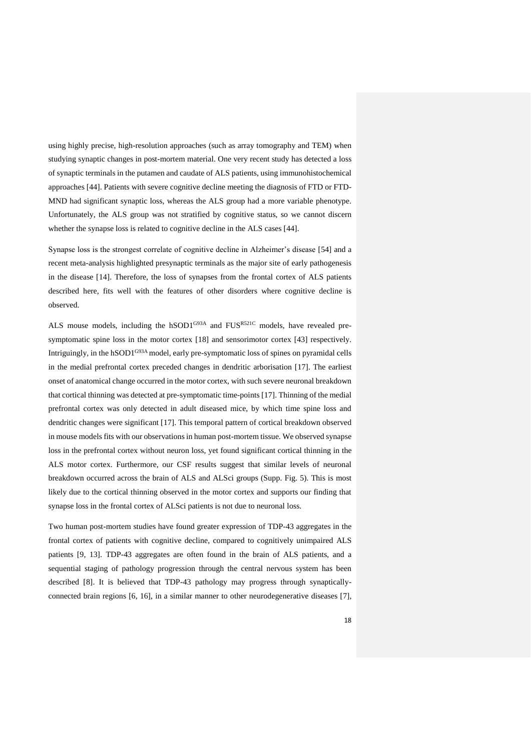using highly precise, high-resolution approaches (such as array tomography and TEM) when studying synaptic changes in post-mortem material. One very recent study has detected a loss of synaptic terminals in the putamen and caudate of ALS patients, using immunohistochemical approaches [44]. Patients with severe cognitive decline meeting the diagnosis of FTD or FTD-MND had significant synaptic loss, whereas the ALS group had a more variable phenotype. Unfortunately, the ALS group was not stratified by cognitive status, so we cannot discern whether the synapse loss is related to cognitive decline in the ALS cases [44].

Synapse loss is the strongest correlate of cognitive decline in Alzheimer's disease [54] and a recent meta-analysis highlighted presynaptic terminals as the major site of early pathogenesis in the disease [14]. Therefore, the loss of synapses from the frontal cortex of ALS patients described here, fits well with the features of other disorders where cognitive decline is observed.

ALS mouse models, including the hSOD1<sup>G93A</sup> and FUS<sup>R521C</sup> models, have revealed presymptomatic spine loss in the motor cortex [18] and sensorimotor cortex [43] respectively. Intriguingly, in the hSOD1<sup>G93A</sup> model, early pre-symptomatic loss of spines on pyramidal cells in the medial prefrontal cortex preceded changes in dendritic arborisation [17]. The earliest onset of anatomical change occurred in the motor cortex, with such severe neuronal breakdown that cortical thinning was detected at pre-symptomatic time-points [17]. Thinning of the medial prefrontal cortex was only detected in adult diseased mice, by which time spine loss and dendritic changes were significant [17]. This temporal pattern of cortical breakdown observed in mouse models fits with our observations in human post-mortem tissue. We observed synapse loss in the prefrontal cortex without neuron loss, yet found significant cortical thinning in the ALS motor cortex. Furthermore, our CSF results suggest that similar levels of neuronal breakdown occurred across the brain of ALS and ALSci groups (Supp. Fig. 5). This is most likely due to the cortical thinning observed in the motor cortex and supports our finding that synapse loss in the frontal cortex of ALSci patients is not due to neuronal loss.

Two human post-mortem studies have found greater expression of TDP-43 aggregates in the frontal cortex of patients with cognitive decline, compared to cognitively unimpaired ALS patients [9, 13]. TDP-43 aggregates are often found in the brain of ALS patients, and a sequential staging of pathology progression through the central nervous system has been described [8]. It is believed that TDP-43 pathology may progress through synapticallyconnected brain regions [6, 16], in a similar manner to other neurodegenerative diseases [7],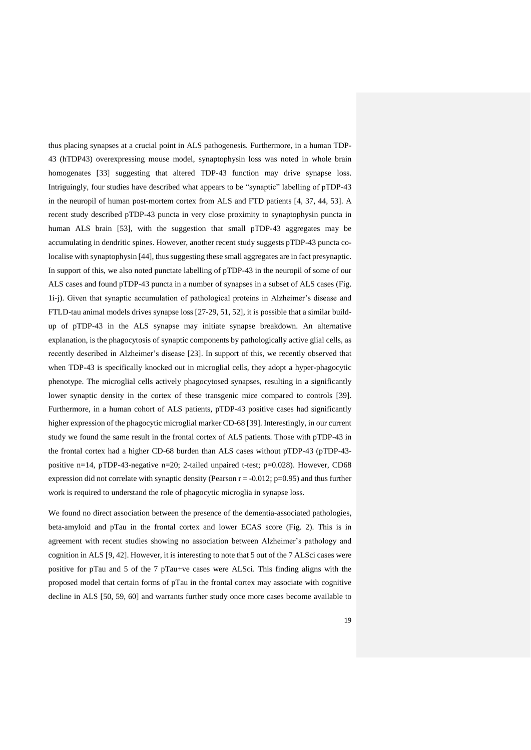thus placing synapses at a crucial point in ALS pathogenesis. Furthermore, in a human TDP-43 (hTDP43) overexpressing mouse model, synaptophysin loss was noted in whole brain homogenates [33] suggesting that altered TDP-43 function may drive synapse loss. Intriguingly, four studies have described what appears to be "synaptic" labelling of pTDP-43 in the neuropil of human post-mortem cortex from ALS and FTD patients [4, 37, 44, 53]. A recent study described pTDP-43 puncta in very close proximity to synaptophysin puncta in human ALS brain [53], with the suggestion that small pTDP-43 aggregates may be accumulating in dendritic spines. However, another recent study suggests pTDP-43 puncta colocalise with synaptophysin [44], thus suggesting these small aggregates are in fact presynaptic. In support of this, we also noted punctate labelling of pTDP-43 in the neuropil of some of our ALS cases and found pTDP-43 puncta in a number of synapses in a subset of ALS cases (Fig. 1i-j). Given that synaptic accumulation of pathological proteins in Alzheimer's disease and FTLD-tau animal models drives synapse loss [27-29, 51, 52], it is possible that a similar buildup of pTDP-43 in the ALS synapse may initiate synapse breakdown. An alternative explanation, is the phagocytosis of synaptic components by pathologically active glial cells, as recently described in Alzheimer's disease [23]. In support of this, we recently observed that when TDP-43 is specifically knocked out in microglial cells, they adopt a hyper-phagocytic phenotype. The microglial cells actively phagocytosed synapses, resulting in a significantly lower synaptic density in the cortex of these transgenic mice compared to controls [39]. Furthermore, in a human cohort of ALS patients, pTDP-43 positive cases had significantly higher expression of the phagocytic microglial marker CD-68 [39]. Interestingly, in our current study we found the same result in the frontal cortex of ALS patients. Those with pTDP-43 in the frontal cortex had a higher CD-68 burden than ALS cases without pTDP-43 (pTDP-43 positive n=14, pTDP-43-negative n=20; 2-tailed unpaired t-test;  $p=0.028$ ). However, CD68 expression did not correlate with synaptic density (Pearson  $r = -0.012$ ; p=0.95) and thus further work is required to understand the role of phagocytic microglia in synapse loss.

We found no direct association between the presence of the dementia-associated pathologies, beta-amyloid and pTau in the frontal cortex and lower ECAS score (Fig. 2). This is in agreement with recent studies showing no association between Alzheimer's pathology and cognition in ALS [9, 42]. However, it is interesting to note that 5 out of the 7 ALSci cases were positive for pTau and 5 of the 7 pTau+ve cases were ALSci. This finding aligns with the proposed model that certain forms of pTau in the frontal cortex may associate with cognitive decline in ALS [50, 59, 60] and warrants further study once more cases become available to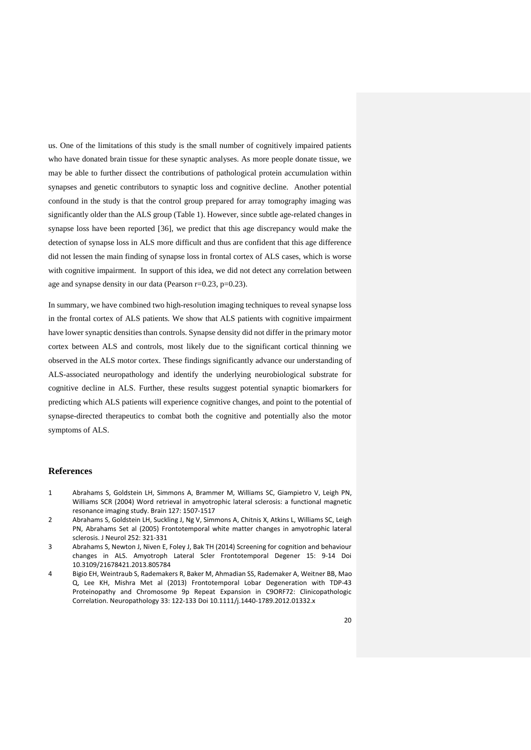us. One of the limitations of this study is the small number of cognitively impaired patients who have donated brain tissue for these synaptic analyses. As more people donate tissue, we may be able to further dissect the contributions of pathological protein accumulation within synapses and genetic contributors to synaptic loss and cognitive decline. Another potential confound in the study is that the control group prepared for array tomography imaging was significantly older than the ALS group (Table 1). However, since subtle age-related changes in synapse loss have been reported [36], we predict that this age discrepancy would make the detection of synapse loss in ALS more difficult and thus are confident that this age difference did not lessen the main finding of synapse loss in frontal cortex of ALS cases, which is worse with cognitive impairment. In support of this idea, we did not detect any correlation between age and synapse density in our data (Pearson r=0.23, p=0.23).

In summary, we have combined two high-resolution imaging techniques to reveal synapse loss in the frontal cortex of ALS patients. We show that ALS patients with cognitive impairment have lower synaptic densities than controls. Synapse density did not differ in the primary motor cortex between ALS and controls, most likely due to the significant cortical thinning we observed in the ALS motor cortex. These findings significantly advance our understanding of ALS-associated neuropathology and identify the underlying neurobiological substrate for cognitive decline in ALS. Further, these results suggest potential synaptic biomarkers for predicting which ALS patients will experience cognitive changes, and point to the potential of synapse-directed therapeutics to combat both the cognitive and potentially also the motor symptoms of ALS.

#### **References**

- 1 Abrahams S, Goldstein LH, Simmons A, Brammer M, Williams SC, Giampietro V, Leigh PN, Williams SCR (2004) Word retrieval in amyotrophic lateral sclerosis: a functional magnetic resonance imaging study. Brain 127: 1507-1517
- 2 Abrahams S, Goldstein LH, Suckling J, Ng V, Simmons A, Chitnis X, Atkins L, Williams SC, Leigh PN, Abrahams Set al (2005) Frontotemporal white matter changes in amyotrophic lateral sclerosis. J Neurol 252: 321-331
- 3 Abrahams S, Newton J, Niven E, Foley J, Bak TH (2014) Screening for cognition and behaviour changes in ALS. Amyotroph Lateral Scler Frontotemporal Degener 15: 9-14 Doi 10.3109/21678421.2013.805784
- 4 Bigio EH, Weintraub S, Rademakers R, Baker M, Ahmadian SS, Rademaker A, Weitner BB, Mao Q, Lee KH, Mishra Met al (2013) Frontotemporal Lobar Degeneration with TDP-43 Proteinopathy and Chromosome 9p Repeat Expansion in C9ORF72: Clinicopathologic Correlation. Neuropathology 33: 122-133 Doi 10.1111/j.1440-1789.2012.01332.x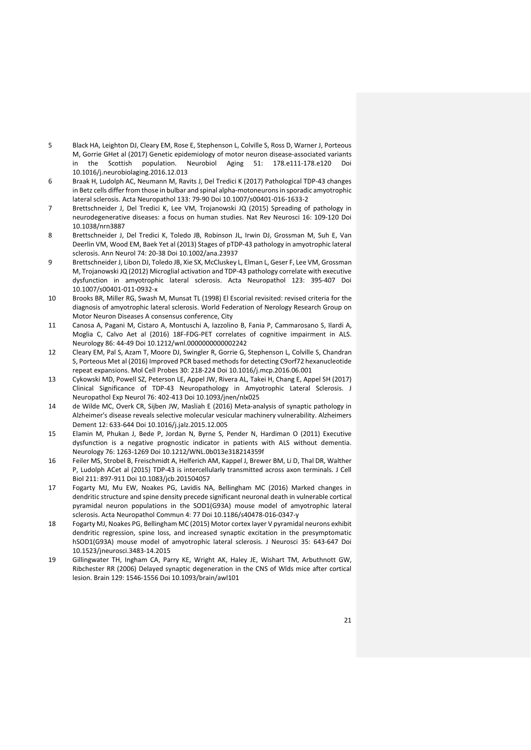- 5 Black HA, Leighton DJ, Cleary EM, Rose E, Stephenson L, Colville S, Ross D, Warner J, Porteous M, Gorrie GHet al (2017) Genetic epidemiology of motor neuron disease-associated variants in the Scottish population. Neurobiol Aging 51: 178.e111-178.e120 Doi 10.1016/j.neurobiolaging.2016.12.013
- 6 Braak H, Ludolph AC, Neumann M, Ravits J, Del Tredici K (2017) Pathological TDP-43 changes in Betz cells differ from those in bulbar and spinal alpha-motoneurons in sporadic amyotrophic lateral sclerosis. Acta Neuropathol 133: 79-90 Doi 10.1007/s00401-016-1633-2
- 7 Brettschneider J, Del Tredici K, Lee VM, Trojanowski JQ (2015) Spreading of pathology in neurodegenerative diseases: a focus on human studies. Nat Rev Neurosci 16: 109-120 Doi 10.1038/nrn3887
- 8 Brettschneider J, Del Tredici K, Toledo JB, Robinson JL, Irwin DJ, Grossman M, Suh E, Van Deerlin VM, Wood EM, Baek Yet al (2013) Stages of pTDP-43 pathology in amyotrophic lateral sclerosis. Ann Neurol 74: 20-38 Doi 10.1002/ana.23937
- 9 Brettschneider J, Libon DJ, Toledo JB, Xie SX, McCluskey L, Elman L, Geser F, Lee VM, Grossman M, Trojanowski JQ (2012) Microglial activation and TDP-43 pathology correlate with executive dysfunction in amyotrophic lateral sclerosis. Acta Neuropathol 123: 395-407 Doi 10.1007/s00401-011-0932-x
- 10 Brooks BR, Miller RG, Swash M, Munsat TL (1998) El Escorial revisited: revised criteria for the diagnosis of amyotrophic lateral sclerosis. World Federation of Nerology Research Group on Motor Neuron Diseases A consensus conference, City
- 11 Canosa A, Pagani M, Cistaro A, Montuschi A, Iazzolino B, Fania P, Cammarosano S, Ilardi A, Moglia C, Calvo Aet al (2016) 18F-FDG-PET correlates of cognitive impairment in ALS. Neurology 86: 44-49 Doi 10.1212/wnl.0000000000002242
- 12 Cleary EM, Pal S, Azam T, Moore DJ, Swingler R, Gorrie G, Stephenson L, Colville S, Chandran S, Porteous Met al (2016) Improved PCR based methods for detecting C9orf72 hexanucleotide repeat expansions. Mol Cell Probes 30: 218-224 Doi 10.1016/j.mcp.2016.06.001
- 13 Cykowski MD, Powell SZ, Peterson LE, Appel JW, Rivera AL, Takei H, Chang E, Appel SH (2017) Clinical Significance of TDP-43 Neuropathology in Amyotrophic Lateral Sclerosis. J Neuropathol Exp Neurol 76: 402-413 Doi 10.1093/jnen/nlx025
- 14 de Wilde MC, Overk CR, Sijben JW, Masliah E (2016) Meta-analysis of synaptic pathology in Alzheimer's disease reveals selective molecular vesicular machinery vulnerability. Alzheimers Dement 12: 633-644 Doi 10.1016/j.jalz.2015.12.005
- 15 Elamin M, Phukan J, Bede P, Jordan N, Byrne S, Pender N, Hardiman O (2011) Executive dysfunction is a negative prognostic indicator in patients with ALS without dementia. Neurology 76: 1263-1269 Doi 10.1212/WNL.0b013e318214359f
- 16 Feiler MS, Strobel B, Freischmidt A, Helferich AM, Kappel J, Brewer BM, Li D, Thal DR, Walther P, Ludolph ACet al (2015) TDP-43 is intercellularly transmitted across axon terminals. J Cell Biol 211: 897-911 Doi 10.1083/jcb.201504057
- 17 Fogarty MJ, Mu EW, Noakes PG, Lavidis NA, Bellingham MC (2016) Marked changes in dendritic structure and spine density precede significant neuronal death in vulnerable cortical pyramidal neuron populations in the SOD1(G93A) mouse model of amyotrophic lateral sclerosis. Acta Neuropathol Commun 4: 77 Doi 10.1186/s40478-016-0347-y
- 18 Fogarty MJ, Noakes PG, Bellingham MC (2015) Motor cortex layer V pyramidal neurons exhibit dendritic regression, spine loss, and increased synaptic excitation in the presymptomatic hSOD1(G93A) mouse model of amyotrophic lateral sclerosis. J Neurosci 35: 643-647 Doi 10.1523/jneurosci.3483-14.2015
- 19 Gillingwater TH, Ingham CA, Parry KE, Wright AK, Haley JE, Wishart TM, Arbuthnott GW, Ribchester RR (2006) Delayed synaptic degeneration in the CNS of Wlds mice after cortical lesion. Brain 129: 1546-1556 Doi 10.1093/brain/awl101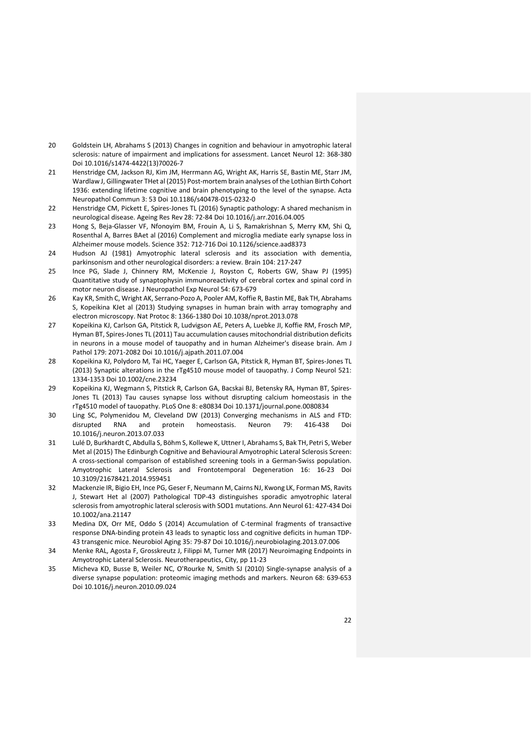- 20 Goldstein LH, Abrahams S (2013) Changes in cognition and behaviour in amyotrophic lateral sclerosis: nature of impairment and implications for assessment. Lancet Neurol 12: 368-380 Doi 10.1016/s1474-4422(13)70026-7
- 21 Henstridge CM, Jackson RJ, Kim JM, Herrmann AG, Wright AK, Harris SE, Bastin ME, Starr JM, Wardlaw J, Gillingwater THet al (2015) Post-mortem brain analyses of the Lothian Birth Cohort 1936: extending lifetime cognitive and brain phenotyping to the level of the synapse. Acta Neuropathol Commun 3: 53 Doi 10.1186/s40478-015-0232-0
- 22 Henstridge CM, Pickett E, Spires-Jones TL (2016) Synaptic pathology: A shared mechanism in neurological disease. Ageing Res Rev 28: 72-84 Doi 10.1016/j.arr.2016.04.005
- 23 Hong S, Beja-Glasser VF, Nfonoyim BM, Frouin A, Li S, Ramakrishnan S, Merry KM, Shi Q, Rosenthal A, Barres BAet al (2016) Complement and microglia mediate early synapse loss in Alzheimer mouse models. Science 352: 712-716 Doi 10.1126/science.aad8373
- 24 Hudson AJ (1981) Amyotrophic lateral sclerosis and its association with dementia, parkinsonism and other neurological disorders: a review. Brain 104: 217-247
- 25 Ince PG, Slade J, Chinnery RM, McKenzie J, Royston C, Roberts GW, Shaw PJ (1995) Quantitative study of synaptophysin immunoreactivity of cerebral cortex and spinal cord in motor neuron disease. J Neuropathol Exp Neurol 54: 673-679
- 26 Kay KR, Smith C, Wright AK, Serrano-Pozo A, Pooler AM, Koffie R, Bastin ME, Bak TH, Abrahams S, Kopeikina KJet al (2013) Studying synapses in human brain with array tomography and electron microscopy. Nat Protoc 8: 1366-1380 Doi 10.1038/nprot.2013.078
- 27 Kopeikina KJ, Carlson GA, Pitstick R, Ludvigson AE, Peters A, Luebke JI, Koffie RM, Frosch MP, Hyman BT, Spires-Jones TL (2011) Tau accumulation causes mitochondrial distribution deficits in neurons in a mouse model of tauopathy and in human Alzheimer's disease brain. Am J Pathol 179: 2071-2082 Doi 10.1016/j.ajpath.2011.07.004
- 28 Kopeikina KJ, Polydoro M, Tai HC, Yaeger E, Carlson GA, Pitstick R, Hyman BT, Spires-Jones TL (2013) Synaptic alterations in the rTg4510 mouse model of tauopathy. J Comp Neurol 521: 1334-1353 Doi 10.1002/cne.23234
- 29 Kopeikina KJ, Wegmann S, Pitstick R, Carlson GA, Bacskai BJ, Betensky RA, Hyman BT, Spires-Jones TL (2013) Tau causes synapse loss without disrupting calcium homeostasis in the rTg4510 model of tauopathy. PLoS One 8: e80834 Doi 10.1371/journal.pone.0080834
- 30 Ling SC, Polymenidou M, Cleveland DW (2013) Converging mechanisms in ALS and FTD: disrupted RNA and protein homeostasis. Neuron 79: 416-438 Doi 10.1016/j.neuron.2013.07.033
- 31 Lulé D, Burkhardt C, Abdulla S, Böhm S, Kollewe K, Uttner I, Abrahams S, Bak TH, Petri S, Weber Met al (2015) The Edinburgh Cognitive and Behavioural Amyotrophic Lateral Sclerosis Screen: A cross-sectional comparison of established screening tools in a German-Swiss population. Amyotrophic Lateral Sclerosis and Frontotemporal Degeneration 16: 16-23 Doi 10.3109/21678421.2014.959451
- 32 Mackenzie IR, Bigio EH, Ince PG, Geser F, Neumann M, Cairns NJ, Kwong LK, Forman MS, Ravits J, Stewart Het al (2007) Pathological TDP-43 distinguishes sporadic amyotrophic lateral sclerosis from amyotrophic lateral sclerosis with SOD1 mutations. Ann Neurol 61: 427-434 Doi 10.1002/ana.21147
- 33 Medina DX, Orr ME, Oddo S (2014) Accumulation of C-terminal fragments of transactive response DNA-binding protein 43 leads to synaptic loss and cognitive deficits in human TDP-43 transgenic mice. Neurobiol Aging 35: 79-87 Doi 10.1016/j.neurobiolaging.2013.07.006
- 34 Menke RAL, Agosta F, Grosskreutz J, Filippi M, Turner MR (2017) Neuroimaging Endpoints in Amyotrophic Lateral Sclerosis. Neurotherapeutics, City, pp 11-23
- 35 Micheva KD, Busse B, Weiler NC, O'Rourke N, Smith SJ (2010) Single-synapse analysis of a diverse synapse population: proteomic imaging methods and markers. Neuron 68: 639-653 Doi 10.1016/j.neuron.2010.09.024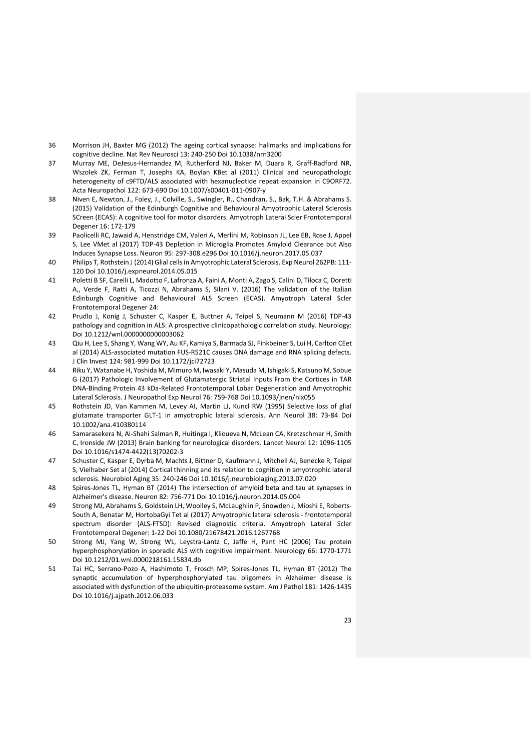- 36 Morrison JH, Baxter MG (2012) The ageing cortical synapse: hallmarks and implications for cognitive decline. Nat Rev Neurosci 13: 240-250 Doi 10.1038/nrn3200
- 37 Murray ME, DeJesus-Hernandez M, Rutherford NJ, Baker M, Duara R, Graff-Radford NR, Wszolek ZK, Ferman T, Josephs KA, Boylan KBet al (2011) Clinical and neuropathologic heterogeneity of c9FTD/ALS associated with hexanucleotide repeat expansion in C9ORF72. Acta Neuropathol 122: 673-690 Doi 10.1007/s00401-011-0907-y
- 38 Niven E, Newton, J., Foley, J., Colville, S., Swingler, R., Chandran, S., Bak, T.H. & Abrahams S. (2015) Validation of the Edinburgh Cognitive and Behavioural Amyotrophic Lateral Sclerosis SCreen (ECAS): A cognitive tool for motor disorders. Amyotroph Lateral Scler Frontotemporal Degener 16: 172-179
- 39 Paolicelli RC, Jawaid A, Henstridge CM, Valeri A, Merlini M, Robinson JL, Lee EB, Rose J, Appel S, Lee VMet al (2017) TDP-43 Depletion in Microglia Promotes Amyloid Clearance but Also Induces Synapse Loss. Neuron 95: 297-308.e296 Doi 10.1016/j.neuron.2017.05.037
- 40 Philips T, Rothstein J (2014) Glial cells in Amyotrophic Lateral Sclerosis. Exp Neurol 262PB: 111- 120 Doi 10.1016/j.expneurol.2014.05.015
- 41 Poletti B SF, Carelli L, Madotto F, Lafronza A, Faini A, Monti A, Zago S, Calini D, Tiloca C, Doretti A,, Verde F, Ratti A, Ticozzi N, Abrahams S, Silani V. (2016) The validation of the Italian Edinburgh Cognitive and Behavioural ALS Screen (ECAS). Amyotroph Lateral Scler Frontotemporal Degener 24:
- 42 Prudlo J, Konig J, Schuster C, Kasper E, Buttner A, Teipel S, Neumann M (2016) TDP-43 pathology and cognition in ALS: A prospective clinicopathologic correlation study. Neurology: Doi 10.1212/wnl.0000000000003062
- 43 Qiu H, Lee S, Shang Y, Wang WY, Au KF, Kamiya S, Barmada SJ, Finkbeiner S, Lui H, Carlton CEet al (2014) ALS-associated mutation FUS-R521C causes DNA damage and RNA splicing defects. J Clin Invest 124: 981-999 Doi 10.1172/jci72723
- 44 Riku Y, Watanabe H, Yoshida M, Mimuro M, Iwasaki Y, Masuda M, Ishigaki S, Katsuno M, Sobue G (2017) Pathologic Involvement of Glutamatergic Striatal Inputs From the Cortices in TAR DNA-Binding Protein 43 kDa-Related Frontotemporal Lobar Degeneration and Amyotrophic Lateral Sclerosis. J Neuropathol Exp Neurol 76: 759-768 Doi 10.1093/jnen/nlx055
- 45 Rothstein JD, Van Kammen M, Levey AI, Martin LJ, Kuncl RW (1995) Selective loss of glial glutamate transporter GLT-1 in amyotrophic lateral sclerosis. Ann Neurol 38: 73-84 Doi 10.1002/ana.410380114
- 46 Samarasekera N, Al-Shahi Salman R, Huitinga I, Klioueva N, McLean CA, Kretzschmar H, Smith C, Ironside JW (2013) Brain banking for neurological disorders. Lancet Neurol 12: 1096-1105 Doi 10.1016/s1474-4422(13)70202-3
- 47 Schuster C, Kasper E, Dyrba M, Machts J, Bittner D, Kaufmann J, Mitchell AJ, Benecke R, Teipel S, Vielhaber Set al (2014) Cortical thinning and its relation to cognition in amyotrophic lateral sclerosis. Neurobiol Aging 35: 240-246 Doi 10.1016/j.neurobiolaging.2013.07.020
- 48 Spires-Jones TL, Hyman BT (2014) The intersection of amyloid beta and tau at synapses in Alzheimer's disease. Neuron 82: 756-771 Doi 10.1016/j.neuron.2014.05.004
- 49 Strong MJ, Abrahams S, Goldstein LH, Woolley S, McLaughlin P, Snowden J, Mioshi E, Roberts-South A, Benatar M, HortobaGyi Tet al (2017) Amyotrophic lateral sclerosis - frontotemporal spectrum disorder (ALS-FTSD): Revised diagnostic criteria. Amyotroph Lateral Scler Frontotemporal Degener: 1-22 Doi 10.1080/21678421.2016.1267768
- 50 Strong MJ, Yang W, Strong WL, Leystra-Lantz C, Jaffe H, Pant HC (2006) Tau protein hyperphosphorylation in sporadic ALS with cognitive impairment. Neurology 66: 1770-1771 Doi 10.1212/01.wnl.0000218161.15834.db
- 51 Tai HC, Serrano-Pozo A, Hashimoto T, Frosch MP, Spires-Jones TL, Hyman BT (2012) The synaptic accumulation of hyperphosphorylated tau oligomers in Alzheimer disease is associated with dysfunction of the ubiquitin-proteasome system. Am J Pathol 181: 1426-1435 Doi 10.1016/j.ajpath.2012.06.033